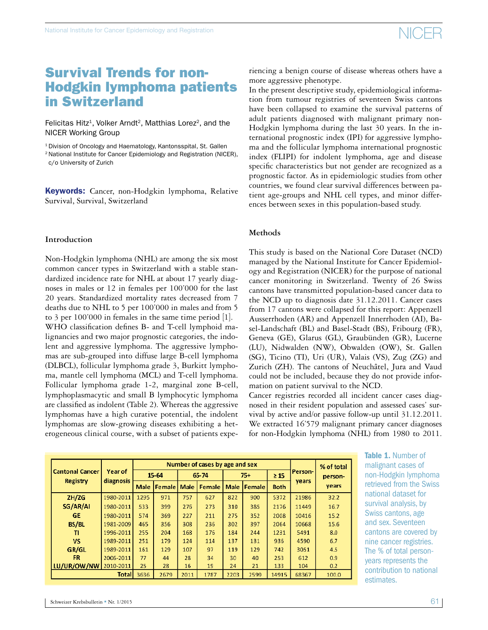### Survival Trends for non-Hodgkin lymphoma patients in Switzerland

Felicitas Hitz<sup>1</sup>, Volker Arndt<sup>2</sup>, Matthias Lorez<sup>2</sup>, and the NICER Working Group

<sup>1</sup> Division of Oncology and Haematology, Kantonsspital, St. Gallen 2 National Institute for Cancer Epidemiology and Registration (NICER), c/o University of Zurich

Keywords: Cancer, non-Hodgkin lymphoma, Relative Survival, Survival, Switzerland

#### **Introduction**

Non-Hodgkin lymphoma (NHL) are among the six most common cancer types in Switzerland with a stable standardized incidence rate for NHL at about 17 yearly diagnoses in males or 12 in females per 100'000 for the last 20 years. Standardized mortality rates decreased from 7 deaths due to NHL to 5 per 100'000 in males and from 5 to 3 per  $100'000$  in females in the same time period  $|1|$ . WHO classification defines B- and T-cell lymphoid malignancies and two major prognostic categories, the indolent and aggressive lymphoma. The aggressive lymphomas are sub-grouped into diffuse large B-cell lymphoma (DLBCL), follicular lymphoma grade 3, Burkitt lymphoma, mantle cell lymphoma (MCL) and T-cell lymphoma. Follicular lymphoma grade 1-2, marginal zone B-cell, lymphoplasmacytic and small B lymphocytic lymphoma are classified as indolent (Table 2). Whereas the aggressive lymphomas have a high curative potential, the indolent lymphomas are slow-growing diseases exhibiting a heterogeneous clinical course, with a subset of patients experiencing a benign course of disease whereas others have a more aggressive phenotype.

In the present descriptive study, epidemiological information from tumour registries of seventeen Swiss cantons have been collapsed to examine the survival patterns of adult patients diagnosed with malignant primary non-Hodgkin lymphoma during the last 30 years. In the international prognostic index (IPI) for aggressive lymphoma and the follicular lymphoma international prognostic index (FLIPI) for indolent lymphoma, age and disease specific characteristics but not gender are recognized as a prognostic factor. As in epidemiologic studies from other countries, we found clear survival differences between patient age-groups and NHL cell types, and minor differences between sexes in this population-based study.

#### **Methods**

This study is based on the National Core Dataset (NCD) managed by the National Institute for Cancer Epidemiology and Registration (NICER) for the purpose of national cancer monitoring in Switzerland. Twenty of 26 Swiss cantons have transmitted population-based cancer data to the NCD up to diagnosis date 31.12.2011. Cancer cases from 17 cantons were collapsed for this report: Appenzell Ausserrhoden (AR) and Appenzell Innerrhoden (AI), Basel-Landschaft (BL) and Basel-Stadt (BS), Fribourg (FR), Geneva (GE), Glarus (GL), Graubünden (GR), Lucerne (LU), Nidwalden (NW), Obwalden (OW), St. Gallen (SG), Ticino (TI), Uri (UR), Valais (VS), Zug (ZG) and Zurich (ZH). The cantons of Neuchâtel, Jura and Vaud could not be included, because they do not provide information on patient survival to the NCD.

Cancer registries recorded all incident cancer cases diagnosed in their resident population and assessed cases' survival by active and/or passive follow-up until 31.12.2011. We extracted 16'579 malignant primary cancer diagnoses for non-Hodgkin lymphoma (NHL) from 1980 to 2011.

| <b>Cantonal Cancer</b><br>Registry |                      | Number of cases by age and sex |        |             |        |             |        |             |         | % of total |  |
|------------------------------------|----------------------|--------------------------------|--------|-------------|--------|-------------|--------|-------------|---------|------------|--|
|                                    | Year of<br>diagnosis | 15-64                          |        | 65-74       |        | $75+$       |        | $\geq 15$   | Person- | person-    |  |
|                                    |                      | Male                           | Female | <b>Male</b> | Female | <b>Male</b> | Female | <b>Both</b> | vears   | years      |  |
| ZH/2G                              | 1980-2011            | 1295                           | 971    | 757         | 627    | 822         | 900    | 5372        | 21986   | 32.2       |  |
| SG/AR/AI                           | 1980-2011            | 533                            | 399    | 276         | 273    | 310         | 385    | 2176        | 11449   | 16.7       |  |
| GE                                 | 1980-2011            | 574                            | 369    | 227         | 211    | 275         | 352    | 2008        | 10416   | 15.2       |  |
| <b>BS/BL</b>                       | 1981-2009            | 465                            | 356    | 308         | 236    | 302         | 397    | 2064        | 10668   | 15.6       |  |
| TI                                 | 1996-2011            | 255                            | 204    | 168         | 176    | 184         | 244    | 1231        | 5491    | 8.0        |  |
| VS                                 | 1989-2011            | 251                            | 179    | 124         | 114    | 137         | 131    | 936         | 4590    | 6.7        |  |
| GR/GL                              | 1989-2011            | 161                            | 129    | 107         | 97     | 119         | 129    | 742         | 3051    | 4.5        |  |
| FR.                                | 2006-2011            | 77                             | 44     | 28          | 34     | 30          | 40     | 253         | 612     | 0.9        |  |
| LU/UR/OW/NW 2010-2011              |                      | 25                             | 28     | 16          | 19     | 24          | 21     | 133         | 104     | 0.2        |  |
|                                    | Totall               | 3636                           | 2679   | 2011        | 1787   | 2203        | 2599   | 14915       | 68367   | 100.0      |  |

Table 1. Number of malignant cases of non-Hodgkin lymphoma retrieved from the Swiss national dataset for survival analysis, by Swiss cantons, age and sex. Seventeen cantons are covered by nine cancer registries. The % of total personyears represents the contribution to national estimates.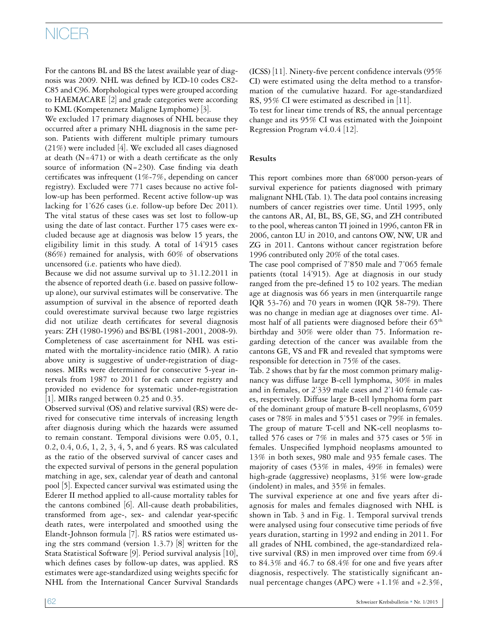For the cantons BL and BS the latest available year of diagnosis was 2009. NHL was defined by ICD-10 codes C82- C85 and C96. Morphological types were grouped according to HAEMACARE [2] and grade categories were according to KML (Kompetenznetz Maligne Lymphome) [3].

We excluded 17 primary diagnoses of NHL because they occurred after a primary NHL diagnosis in the same person. Patients with different multiple primary tumours (21%) were included [4]. We excluded all cases diagnosed at death  $(N=471)$  or with a death certificate as the only source of information  $(N=230)$ . Case finding via death certificates was infrequent (1%-7%, depending on cancer registry). Excluded were 771 cases because no active follow-up has been performed. Recent active follow-up was lacking for 1'626 cases (i.e. follow-up before Dec 2011). The vital status of these cases was set lost to follow-up using the date of last contact. Further 175 cases were excluded because age at diagnosis was below 15 years, the eligibility limit in this study. A total of 14'915 cases (86%) remained for analysis, with 60% of observations uncensored (i.e. patients who have died).

Because we did not assume survival up to 31.12.2011 in the absence of reported death (i.e. based on passive followup alone), our survival estimates will be conservative. The assumption of survival in the absence of reported death could overestimate survival because two large registries did not utilize death certificates for several diagnosis years: ZH (1980-1996) and BS/BL (1981-2001, 2008-9). Completeness of case ascertainment for NHL was estimated with the mortality-incidence ratio (MIR). A ratio above unity is suggestive of under-registration of diagnoses. MIRs were determined for consecutive 5-year intervals from 1987 to 2011 for each cancer registry and provided no evidence for systematic under-registration [1]. MIRs ranged between 0.25 and 0.35.

Observed survival (OS) and relative survival (RS) were derived for consecutive time intervals of increasing length after diagnosis during which the hazards were assumed to remain constant. Temporal divisions were 0.05, 0.1, 0.2, 0.4, 0.6, 1, 2, 3, 4, 5, and 6 years. RS was calculated as the ratio of the observed survival of cancer cases and the expected survival of persons in the general population matching in age, sex, calendar year of death and cantonal pool [5]. Expected cancer survival was estimated using the Ederer II method applied to all-cause mortality tables for the cantons combined  $|6|$ . All-cause death probabilities, transformed from age-, sex- and calendar year-specific death rates, were interpolated and smoothed using the Elandt-Johnson formula [7]. RS ratios were estimated using the strs command (version 1.3.7) [8] written for the Stata Statistical Software [9]. Period survival analysis [10], which defines cases by follow-up dates, was applied. RS estimates were age-standardized using weights specific for NHL from the International Cancer Survival Standards

(ICSS) [11]. Ninety-five percent confidence intervals (95% CI) were estimated using the delta method to a transformation of the cumulative hazard. For age-standardized RS, 95% CI were estimated as described in [11].

To test for linear time trends of RS, the annual percentage change and its 95% CI was estimated with the Joinpoint Regression Program v4.0.4 [12].

### **Results**

This report combines more than 68'000 person-years of survival experience for patients diagnosed with primary malignant NHL (Tab. 1). The data pool contains increasing numbers of cancer registries over time. Until 1995, only the cantons AR, AI, BL, BS, GE, SG, and ZH contributed to the pool, whereas canton TI joined in 1996, canton FR in 2006, canton LU in 2010, and cantons OW, NW, UR and ZG in 2011. Cantons without cancer registration before 1996 contributed only 20% of the total cases.

The case pool comprised of 7'850 male and 7'065 female patients (total 14'915). Age at diagnosis in our study ranged from the pre-defined 15 to 102 years. The median age at diagnosis was 66 years in men (interquartile range IQR 53-76) and 70 years in women (IQR 58-79). There was no change in median age at diagnoses over time. Almost half of all patients were diagnosed before their  $65<sup>th</sup>$ birthday and 30% were older than 75. Information regarding detection of the cancer was available from the cantons GE, VS and FR and revealed that symptoms were responsible for detection in 75% of the cases.

Tab. 2 shows that by far the most common primary malignancy was diffuse large B-cell lymphoma, 30% in males and in females, or 2'339 male cases and 2'140 female cases, respectively. Diffuse large B-cell lymphoma form part of the dominant group of mature B-cell neoplasms, 6'059 cases or 78% in males and 5'551 cases or 79% in females. The group of mature T-cell and NK-cell neoplasms totalled 576 cases or 7% in males and 375 cases or 5% in females. Unspecified lymphoid neoplasms amounted to 13% in both sexes, 980 male and 935 female cases. The majority of cases (53% in males, 49% in females) were high-grade (aggressive) neoplasms, 31% were low-grade (indolent) in males, and 35% in females.

The survival experience at one and five years after diagnosis for males and females diagnosed with NHL is shown in Tab. 3 and in Fig. 1. Temporal survival trends were analysed using four consecutive time periods of five years duration, starting in 1992 and ending in 2011. For all grades of NHL combined, the age-standardized relative survival (RS) in men improved over time from 69.4 to 84.3% and 46.7 to 68.4% for one and five years after diagnosis, respectively. The statistically significant annual percentage changes (APC) were  $+1.1\%$  and  $+2.3\%$ ,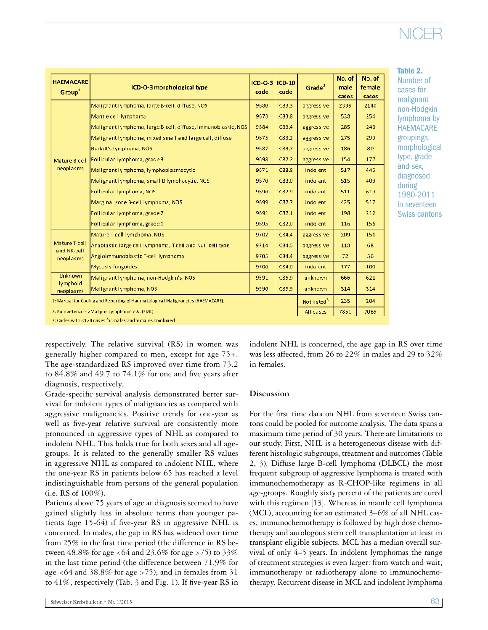| <b>HAEMACARE</b><br>Group <sup>1</sup> | ICD-O-3 morphological type                                                     | $ CD-O-3 $ $ CD-10 $<br>code | code      | Grade $2$  | No. of<br>male<br>cases | No. of<br>female<br>cases |
|----------------------------------------|--------------------------------------------------------------------------------|------------------------------|-----------|------------|-------------------------|---------------------------|
| Mature B-cell<br>neoplasms             | Malignant lymphoma, large B-cell, diffuse, NOS                                 | 9680                         | C83.3     | aggressive | 2339                    | 2140                      |
|                                        | Mantle cell lymphoma                                                           | 9673                         | C83.8     | aggressive | 538                     | 254                       |
|                                        | Malignant lymphoma, large B-cell, diffuse, immunoblastic, NOS                  | 9684                         | C83.4     | aggressive | 285                     | 243                       |
|                                        | Malignant lymphoma, mixed small and large cell, diffuse                        | 9675                         | C83.2     | aggressive | 275                     | 299                       |
|                                        | Burkitt's lymphoma, NOS                                                        | 9687                         | C83.7     | aggressive | 186                     | 80                        |
|                                        | Follicular lymphoma, grade 3                                                   | 9698                         | C82.2     | aggressive | 154                     | 177                       |
|                                        | Malignant lymphoma, lymphoplasmacytic                                          | 9671                         | C83.8     | indolent   | 517                     | 445                       |
|                                        | Malignant lymphoma, small B lymphocytic, NOS                                   | 9670                         | C83.0     | indolent   | 515                     | 409                       |
|                                        | Follicular lymphoma, NOS                                                       | 9690                         | C82.9     | indolent   | 511                     | 619                       |
|                                        | Marginal zone B-cell lymphoma, NOS                                             | 9699                         | C82.7     | indolent   | 425                     | 517                       |
|                                        | Follicular lymphoma, grade 2                                                   | 9691                         | C82.1     | indolent   | 198                     | 212                       |
|                                        | Follicular lymphoma, grade 1                                                   | 9695                         | C82.0     | indolent   | 116                     | 156                       |
| Mature T-cell                          | Mature T-cell lymphoma, NOS                                                    | 9702                         | C84.4     | aggressive | 209                     | 151                       |
|                                        | Anaplastic large cell lymphoma, T cell and Null cell type                      | 9714                         | C84.5     | aggressive | 118                     | 68                        |
| and NK-cell<br>neoplasms               | Angioimmunoblastic T-cell lymphoma                                             | 9705                         | C84.4     | aggressive | 72                      | 56                        |
|                                        | Mycosis fungoides                                                              | 9700                         | C84.0     | indolent   | 177                     | 100                       |
| Unknown                                | Malignant lymphoma, non-Hodgkin's, NOS                                         | 9591                         | C85.9     | unknown    | 666                     | 621                       |
| lymphoid<br>neoplasms                  | Malignant lymphoma, NOS                                                        | 9590                         | C85.9     | unknown    | 314                     | 314                       |
|                                        | 1: Manual for Coding and Reporting of Haematological Malignancies (HAEMACARE). | Not listed <sup>3</sup>      | 235       | 204        |                         |                           |
|                                        | 2: Kompetenznetz Maligne Lymphome e.V. (KML)                                   |                              | All cases | 7850       | 7065                    |                           |

Table 2.

Number of cases for malignant non-Hodgkin lymphoma by HAEMACARE groupings, morphological type, grade and sex, diagnosed during 1980-2011 in seventeen Swiss cantons

respectively. The relative survival (RS) in women was generally higher compared to men, except for age 75+. The age-standardized RS improved over time from 73.2 to 84.8% and 49.7 to 74.1% for one and five years after diagnosis, respectively.

Grade-specific survival analysis demonstrated better survival for indolent types of malignancies as compared with aggressive malignancies. Positive trends for one-year as well as five-year relative survival are consistently more pronounced in aggressive types of NHL as compared to indolent NHL. This holds true for both sexes and all agegroups. It is related to the generally smaller RS values in aggressive NHL as compared to indolent NHL, where the one-year RS in patients below 65 has reached a level indistinguishable from persons of the general population (i.e. RS of 100%).

Patients above 75 years of age at diagnosis seemed to have gained slightly less in absolute terms than younger patients (age 15-64) if five-year RS in aggressive NHL is concerned. In males, the gap in RS has widened over time from 25% in the first time period (the difference in RS between  $48.8\%$  for age <64 and 23.6% for age >75) to 33% in the last time period (the difference between 71.9% for age <64 and 38.8% for age >75), and in females from 31 to 41%, respectively (Tab. 3 and Fig. 1). If five-year RS in

indolent NHL is concerned, the age gap in RS over time was less affected, from 26 to 22% in males and 29 to 32% in females.

#### **Discussion**

For the first time data on NHL from seventeen Swiss cantons could be pooled for outcome analysis. The data spans a maximum time period of 30 years. There are limitations to our study. First, NHL is a heterogeneous disease with different histologic subgroups, treatment and outcomes (Table 2, 3). Diffuse large B-cell lymphoma (DLBCL) the most frequent subgroup of aggressive lymphoma is treated with immunochemotherapy as R-CHOP-like regimens in all age-groups. Roughly sixty percent of the patients are cured with this regimen [13]. Whereas in mantle cell lymphoma (MCL), accounting for an estimated 3–6% of all NHL cases, immunochemotherapy is followed by high dose chemotherapy and autologous stem cell transplantation at least in transplant eligible subjects. MCL has a median overall survival of only 4–5 years. In indolent lymphomas the range of treatment strategies is even larger: from watch and wait, immunotherapy or radiotherapy alone to immunochemotherapy. Recurrent disease in MCL and indolent lymphoma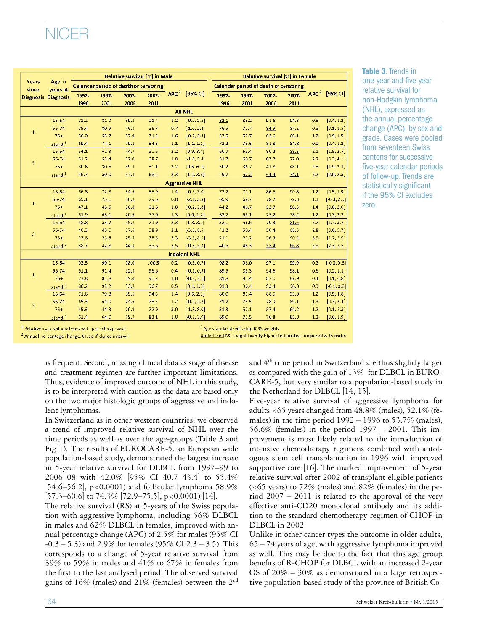# JER

|                       |                            | Relative survival [%] in Male         |       |       |       |     |                           | <b>Relative survival [%] in Female</b> |       |       |       |     |                        |
|-----------------------|----------------------------|---------------------------------------|-------|-------|-------|-----|---------------------------|----------------------------------------|-------|-------|-------|-----|------------------------|
| Years<br>since        | Age in<br>vears at         | Calendar period of death or censoring |       |       |       |     |                           | Calendar period of death or censoring  |       |       |       |     |                        |
|                       | <b>Diagnosis Diagnosis</b> | 1992-                                 | 1997- | 2002- | 2007- |     | APC <sup>2</sup> [95% CI] | 1992-                                  | 1997- | 2002- | 2007- |     | $^-$ APC $^2$ [95% CI] |
|                       |                            | 1996                                  | 2001  | 2006  | 2011  |     |                           | 1996                                   | 2001  | 2006  | 2011  |     |                        |
|                       |                            |                                       |       |       |       |     | <b>All NHL</b>            |                                        |       |       |       |     |                        |
| $\mathbf{1}$          | $15 - 64$                  | 71.2                                  | 81.9  | 89.3  | 91.4  | 1.2 | $[-0.2, 2.5]$             | 82.1                                   | 85.2  | 91.6  | 94.8  | 0.8 | [0.4, 1.2]             |
|                       | 65-74                      | 75.4                                  | 80.9  | 76.3  | 86.7  | 0.7 | $[-1.0, 2.4]$             | 76.5                                   | 77.7  | 84.9  | 87.2  | 0.8 | [0.1, 1.5]             |
|                       | $75+$                      | 56.0                                  | 55.7  | 67.9  | 71.2  | 1.6 | $[-0.2, 3.3]$             | 53.5                                   | 57.7  | 62.6  | 66.1  | 1.2 | [0.9, 1.5]             |
|                       | stand. <sup>3</sup>        | 69.4                                  | 74.1  | 79.1  | 84.3  | 1.1 | [1.1, 1.1]                | 73.2                                   | 75.6  | 81.8  | 84.8  | 0.9 | [0.4, 1.3]             |
|                       | $15 - 64$                  | 54.1                                  | 62.3  | 74.7  | 80.6  | 2.2 | [0.9, 3.4]                | 50.7                                   | 68.4  | 80.2  | 88.5  | 2.1 | [1.5, 2.7]             |
| 5                     | 65-74                      | 51.2                                  | 52.4  | 52.0  | 68.7  | 1.8 | $[-1.6, 5.4]$             | 51.7                                   | 60.7  | 62.2  | 77.0  | 2.2 | [0.3, 4.1]             |
|                       | $75+$                      | 30.6                                  | 30.5  | 39.1  | 50.1  | 3.2 | [0.5, 6.0]                | 30.2                                   | 36.7  | 41.8  | 48.1  | 2.5 | [1.9, 3.1]             |
|                       | stand. <sup>3</sup>        | 46.7                                  | 50.0  | 57.1  | 68.4  | 2.3 | [1.1, 3.6]                | 49.7                                   | 57.2  | 64.4  | 74.1  | 2.2 | [2.0, 2.5]             |
| <b>Aggressive NHL</b> |                            |                                       |       |       |       |     |                           |                                        |       |       |       |     |                        |
| $\mathbf 1$           | $15 - 64$                  | 66.8                                  | 72.8  | 84.6  | 85.9  | 1.4 | $[-0.3, 3.0]$             | 73.2                                   | 77.1  | 86.6  | 90.8  | 1.2 | [0.5, 1.9]             |
|                       | 65-74                      | 65.1                                  | 75.1  | 66.2  | 79.6  | 0.8 | $[-2.1, 3.8]$             | 55.9                                   | 68.7  | 78.7  | 79.3  | 1.1 | $[-0.3, 2.5]$          |
|                       | $75+$                      | 47.1                                  | 45.5  | 56.8  | 61.6  | 1.8 | $[-0.2, 3.8]$             | 44.2                                   | 46.7  | 52.7  | 56.3  | 1.4 | [0.8, 2.0]             |
|                       | stand. <sup>3</sup>        | 61.9                                  | 65.1  | 70.6  | 77.0  | 1.3 | [0.9, 1.7]                | 63.7                                   | 66.1  | 75.2  | 78.2  | 1.2 | [0.3, 2.2]             |
| 5                     | 15-64                      | 48.8                                  | 53.7  | 65.2  | 71.9  | 2.3 | [1.3, 3.2]                | 52.1                                   | 56.6  | 70.3  | 81.6  | 2.7 | [1.7, 3.7]             |
|                       | 65-74                      | 40.3                                  | 45.6  | 37.6  | 58.9  | 2.1 | $[-3.8, 8.5]$             | 41.2                                   | 50.4  | 50.4  | 68.5  | 2.8 | [0.0, 5.7]             |
|                       | $75+$                      | 23.6                                  | 23.8  | 25.7  | 38.8  | 3.3 | $[-3.8, 8.5]$             | 21.1                                   | 27.2  | 36.3  | 40.4  | 3.5 | [1.2, 5.9]             |
|                       | stand. <sup>3</sup>        | 38.7                                  | 42.8  | 44.3  | 58.6  | 2.5 | $[-0.3, 5.3]$             | 40.5                                   | 46.3  | 55.4  | 56.8  | 2.9 | [2.3, 3.5]             |
|                       | <b>Indolent NHL</b>        |                                       |       |       |       |     |                           |                                        |       |       |       |     |                        |
| $\mathbf{1}$          | $15 - 64$                  | 92.5                                  | 99.1  | 98.0  | 100.5 | 0.2 | $-0.3, 0.7$ ]             | 98.2                                   | 96.0  | 97.1  | 99.9  | 0.2 | $[-0.3, 0.6]$          |
|                       | 65-74                      | 91.1                                  | 91.4  | 92.3  | 96.6  | 0.4 | $[-0.1, 0.9]$             | 89.5                                   | 89.3  | 94.6  | 98.1  | 0.6 | [0.2, 1.1]             |
|                       | $75+$                      | 73.8                                  | 81.8  | 89.0  | 90.7  | 1.0 | $[-0.2, 2.1]$             | 81.8                                   | 83.4  | 87.0  | 87.9  | 0.4 | [0.1, 0.8]             |
|                       | stand. <sup>3</sup>        | 86.2                                  | 92.2  | 93.7  | 96.7  | 0.5 | [0.1, 1.0]                | 91.3                                   | 90.4  | 93.4  | 96.0  | 0.3 | $[-0.1, 0.8]$          |
|                       | 15-64                      | 71.6                                  | 79.8  | 89.5  | 94.5  | 1.4 | [0.5, 2.3]                | 80.0                                   | 81.4  | 88.5  | 95.9  | 1.2 | [0.5, 1.8]             |
|                       | 65-74                      | 65.3                                  | 64.0  | 74.6  | 78.5  | 1.2 | $[-0.2, 2.7]$             | 71.7                                   | 75.5  | 78.9  | 89.1  | 1.3 | [0.3, 2.4]             |
| 5                     | $75+$                      | 45.3                                  | 44.3  | 70.9  | 72.9  | 3.0 | $[-1.8, 8.0]$             | 51.3                                   | 57.1  | 57.4  | 64.2  | 1.2 | [0.1, 2.3]             |
|                       | stand. <sup>3</sup>        | 61.4                                  | 64.0  | 79.7  | 83.1  | 1.8 | $[-0.2, 3.9]$             | 59.0                                   | 72.5  | 76.8  | 85.0  | 1.2 | [0.6, 1.9]             |

Table 3. Trends in one-year and five-year relative survival for non-Hodgkin lymphoma (NHL), expressed as the annual percentage change (APC), by sex and grade. Cases were pooled from seventeen Swiss cantons for successive five-year calendar periods of follow-up. Trends are statistically significant if the 95% CI excludes zero.

<sup>1</sup> Relative survival analysed with period approach <sup>2</sup> Annual percentage change. CI: confidence interval

<sup>3</sup> Age standardized using ICSS weights

Underlined RS is significantly higher in females compared with males

is frequent. Second, missing clinical data as stage of disease and treatment regimen are further important limitations. Thus, evidence of improved outcome of NHL in this study, is to be interpreted with caution as the data are based only on the two major histologic groups of aggressive and indolent lymphomas.

In Switzerland as in other western countries, we observed a trend of improved relative survival of NHL over the time periods as well as over the age-groups (Table 3 and Fig 1). The results of EUROCARE-5, an European wide population-based study, demonstrated the largest increase in 5-year relative survival for DLBCL from 1997–99 to 2006–08 with 42.0% [95% CI 40.7–43.4] to 55.4% [54.6–56.2],  $p < 0.0001$ ) and follicular lymphoma 58.9%  $[57.3–60.6]$  to  $74.3\%$   $[72.9–75.5]$ , p<0.0001)  $[14]$ .

The relative survival (RS) at 5-years of the Swiss population with aggressive lymphoma, including 56% DLBCL in males and 62% DLBCL in females, improved with annual percentage change (APC) of 2.5% for males (95% CI  $-0.3 - 5.3$ ) and 2.9% for females (95% CI 2.3 – 3.5). This corresponds to a change of 5-year relative survival from 39% to 59% in males and 41% to 67% in females from the first to the last analysed period. The observed survival gains of 16% (males) and 21% (females) between the 2nd

and 4th time period in Switzerland are thus slightly larger as compared with the gain of 13% for DLBCL in EURO-CARE-5, but very similar to a population-based study in the Netherland for DLBCL [14, 15].

Five-year relative survival of aggressive lymphoma for adults <65 years changed from 48.8% (males), 52.1% (females) in the time period  $1992 - 1996$  to 53.7% (males), 56.6% (females) in the period 1997 – 2001. This improvement is most likely related to the introduction of intensive chemotherapy regimens combined with autologous stem cell transplantation in 1996 with improved supportive care [16]. The marked improvement of 5-year relative survival after 2002 of transplant eligible patients  $(<$  65 years) to 72% (males) and 82% (females) in the period 2007 – 2011 is related to the approval of the very effective anti-CD20 monoclonal antibody and its addition to the standard chemotherapy regimen of CHOP in DLBCL in 2002.

Unlike in other cancer types the outcome in older adults, 65 – 74 years of age, with aggressive lymphoma improved as well. This may be due to the fact that this age group benefits of R-CHOP for DLBCL with an increased 2-year OS of  $20\% - 30\%$  as demonstrated in a large retrospective population-based study of the province of British Co-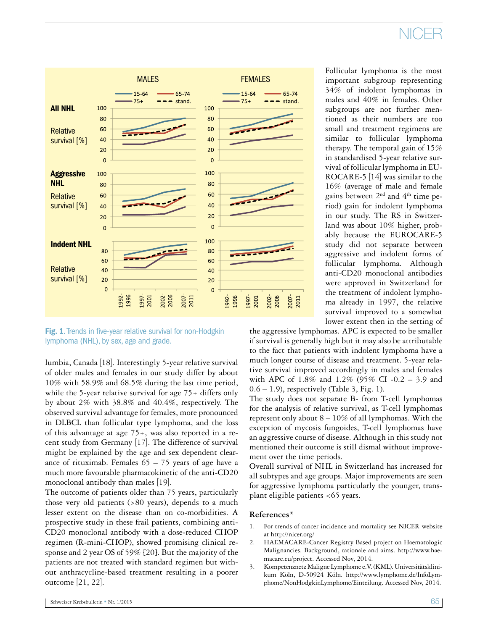

Fig. 1. Trends in five-year relative survival for non-Hodgkin lymphoma (NHL), by sex, age and grade.

lumbia, Canada [18]. Interestingly 5-year relative survival of older males and females in our study differ by about 10% with 58.9% and 68.5% during the last time period, while the 5-year relative survival for age 75+ differs only by about 2% with 38.8% and 40.4%, respectively. The observed survival advantage for females, more pronounced in DLBCL than follicular type lymphoma, and the loss of this advantage at age 75+, was also reported in a recent study from Germany [17]. The difference of survival might be explained by the age and sex dependent clearance of rituximab. Females  $65 - 75$  years of age have a much more favourable pharmacokinetic of the anti-CD20 monoclonal antibody than males [19].

The outcome of patients older than 75 years, particularly those very old patients (>80 years), depends to a much lesser extent on the disease than on co-morbidities. A prospective study in these frail patients, combining anti-CD20 monoclonal antibody with a dose-reduced CHOP regimen (R-mini-CHOP), showed promising clinical response and 2 year OS of 59% [20]. But the majority of the patients are not treated with standard regimen but without anthracycline-based treatment resulting in a poorer outcome [21, 22].

Follicular lymphoma is the most important subgroup representing 34% of indolent lymphomas in males and 40% in females. Other subgroups are not further mentioned as their numbers are too small and treatment regimens are similar to follicular lymphoma therapy. The temporal gain of 15% in standardised 5-year relative survival of follicular lymphoma in EU-ROCARE-5 [14] was similar to the 16% (average of male and female gains between  $2<sup>nd</sup>$  and  $4<sup>th</sup>$  time period) gain for indolent lymphoma in our study. The RS in Switzerland was about 10% higher, probably because the EUROCARE-5 study did not separate between aggressive and indolent forms of follicular lymphoma. Although anti-CD20 monoclonal antibodies were approved in Switzerland for the treatment of indolent lymphoma already in 1997, the relative survival improved to a somewhat lower extent then in the setting of

the aggressive lymphomas. APC is expected to be smaller if survival is generally high but it may also be attributable to the fact that patients with indolent lymphoma have a much longer course of disease and treatment. 5-year relative survival improved accordingly in males and females with APC of 1.8% and 1.2% (95% CI -0.2 – 3.9 and  $0.6 - 1.9$ ), respectively (Table 3, Fig. 1).

The study does not separate B- from T-cell lymphomas for the analysis of relative survival, as T-cell lymphomas represent only about  $8 - 10\%$  of all lymphomas. With the exception of mycosis fungoides, T-cell lymphomas have an aggressive course of disease. Although in this study not mentioned their outcome is still dismal without improvement over the time periods.

Overall survival of NHL in Switzerland has increased for all subtypes and age groups. Major improvements are seen for aggressive lymphoma particularly the younger, transplant eligible patients <65 years.

#### **References\***

- 1. For trends of cancer incidence and mortality see NICER website at <http://nicer.org/>
- 2. HAEMACARE-Cancer Registry Based project on Haematologic Malignancies. Background, rationale and aims. http://www.haemacare.eu/project. Accessed Nov, 2014.
- 3. Kompetenznetz Maligne Lymphome e.V. (KML). Universitätsklinikum Köln, D-50924 Köln. http://www.lymphome.de/InfoLymphome/NonHodgkinLymphome/Einteilung. Accessed Nov, 2014.